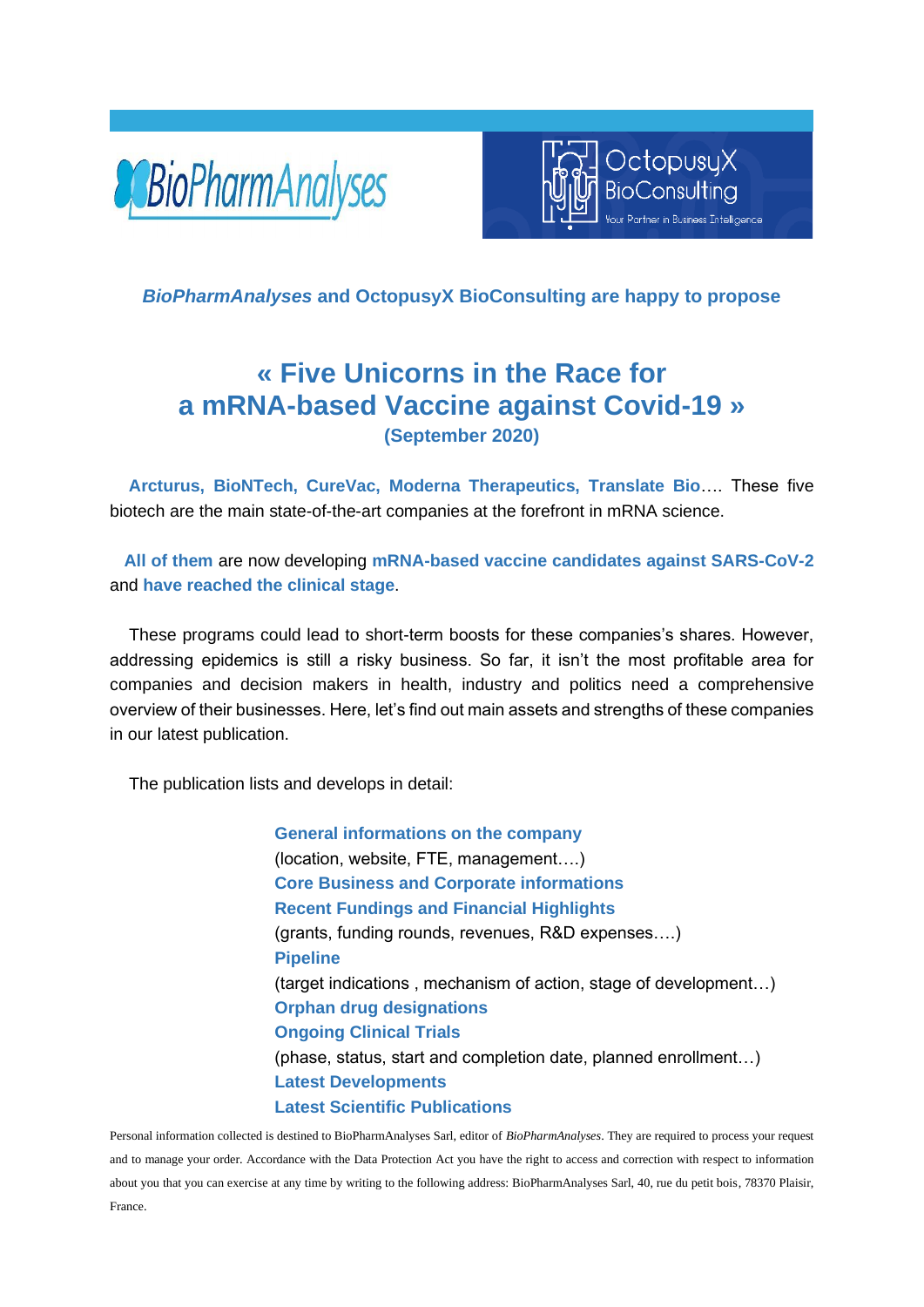



### *BioPharmAnalyses* **and OctopusyX BioConsulting are happy to propose**

# **« Five Unicorns in the Race for a mRNA-based Vaccine against Covid-19 » (September 2020)**

 **Arcturus, BioNTech, CureVac, Moderna Therapeutics, Translate Bio**…. These five biotech are the main state-of-the-art companies at the forefront in mRNA science.

 **All of them** are now developing **mRNA-based vaccine candidates against SARS-CoV-2** and **have reached the clinical stage**.

 These programs could lead to short-term boosts for these companies's shares. However, addressing epidemics is still a risky business. So far, it isn't the most profitable area for companies and decision makers in health, industry and politics need a comprehensive overview of their businesses. Here, let's find out main assets and strengths of these companies in our latest publication.

The publication lists and develops in detail:

**General informations on the company**  (location, website, FTE, management….) **Core Business and Corporate informations Recent Fundings and Financial Highlights** (grants, funding rounds, revenues, R&D expenses….) **Pipeline** (target indications , mechanism of action, stage of development…) **Orphan drug designations Ongoing Clinical Trials**  (phase, status, start and completion date, planned enrollment…) **Latest Developments Latest Scientific Publications**

Personal information collected is destined to BioPharmAnalyses Sarl, editor of *BioPharmAnalyses*. They are required to process your request and to manage your order. Accordance with the Data Protection Act you have the right to access and correction with respect to information about you that you can exercise at any time by writing to the following address: BioPharmAnalyses Sarl, 40, rue du petit bois, 78370 Plaisir, France.